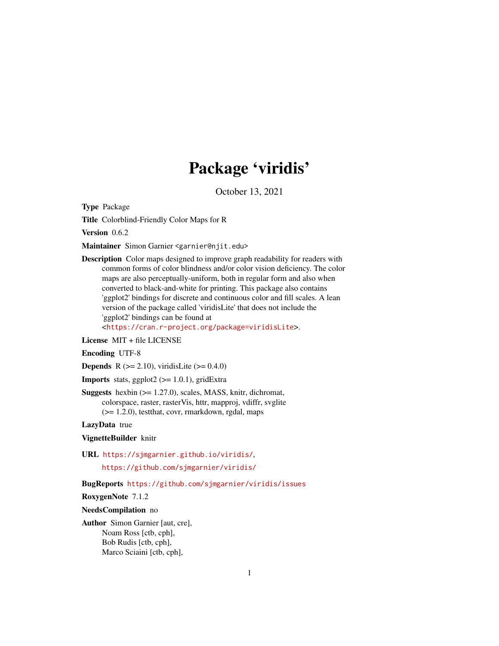## Package 'viridis'

October 13, 2021

<span id="page-0-0"></span>Type Package

Title Colorblind-Friendly Color Maps for R

Version 0.6.2

Maintainer Simon Garnier <garnier@njit.edu>

Description Color maps designed to improve graph readability for readers with common forms of color blindness and/or color vision deficiency. The color maps are also perceptually-uniform, both in regular form and also when converted to black-and-white for printing. This package also contains 'ggplot2' bindings for discrete and continuous color and fill scales. A lean version of the package called 'viridisLite' that does not include the 'ggplot2' bindings can be found at <<https://cran.r-project.org/package=viridisLite>>.

License MIT + file LICENSE

Encoding UTF-8

**Depends** R ( $>= 2.10$ ), viridisLite ( $>= 0.4.0$ )

**Imports** stats, ggplot $2$  ( $>= 1.0.1$ ), gridExtra

Suggests hexbin (>= 1.27.0), scales, MASS, knitr, dichromat, colorspace, raster, rasterVis, httr, mapproj, vdiffr, svglite (>= 1.2.0), testthat, covr, rmarkdown, rgdal, maps

LazyData true

VignetteBuilder knitr

URL <https://sjmgarnier.github.io/viridis/>,

<https://github.com/sjmgarnier/viridis/>

#### BugReports <https://github.com/sjmgarnier/viridis/issues>

RoxygenNote 7.1.2

#### NeedsCompilation no

Author Simon Garnier [aut, cre], Noam Ross [ctb, cph], Bob Rudis [ctb, cph], Marco Sciaini [ctb, cph],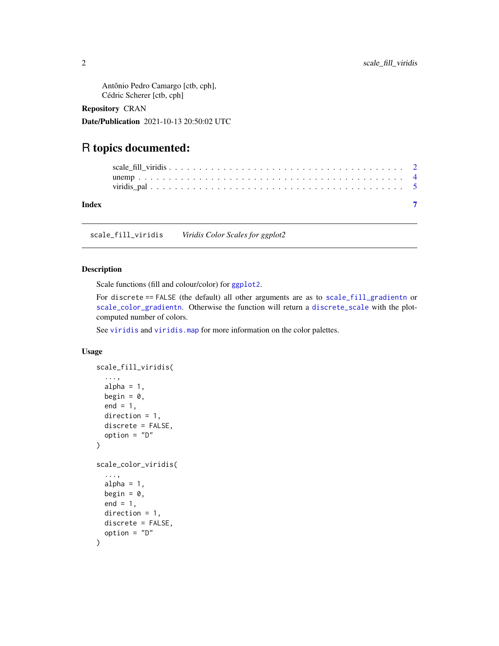<span id="page-1-0"></span>Antônio Pedro Camargo [ctb, cph], Cédric Scherer [ctb, cph]

Repository CRAN

Date/Publication 2021-10-13 20:50:02 UTC

### R topics documented:

| Index |  |
|-------|--|
|       |  |
|       |  |

scale\_fill\_viridis *Viridis Color Scales for ggplot2*

#### **Description**

Scale functions (fill and colour/color) for [ggplot2](#page-0-0).

For discrete == FALSE (the default) all other arguments are as to [scale\\_fill\\_gradientn](#page-0-0) or [scale\\_color\\_gradientn](#page-0-0). Otherwise the function will return a [discrete\\_scale](#page-0-0) with the plotcomputed number of colors.

See [viridis](#page-0-0) and viridis. map for more information on the color palettes.

#### Usage

```
scale_fill_viridis(
  ...,
 alpha = 1,
 begin = 0,
 end = 1,
 direction = 1,
 discrete = FALSE,
 option = "D"
\lambdascale_color_viridis(
  ...,
 alpha = 1,
 begin = 0,
 end = 1,
 direction = 1,
 discrete = FALSE,
  option = "D"
)
```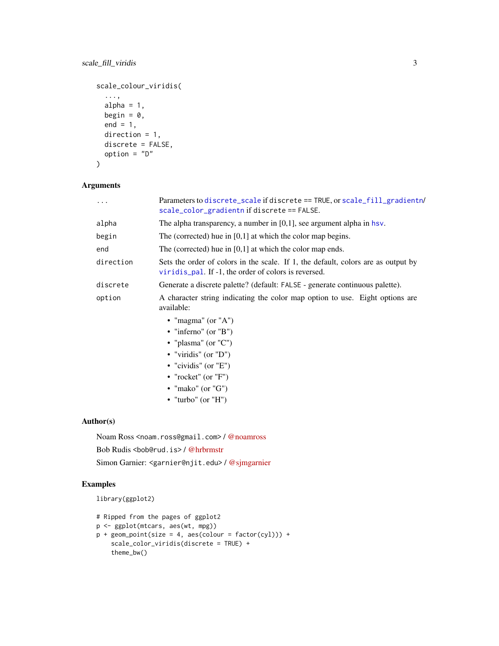```
scale_colour_viridis(
  ...,
 alpha = 1,
 begin = 0,
 end = 1,
 direction = 1,
 discrete = FALSE,
 option = "D"
```
#### )

#### Arguments

| .         | Parameters to discrete_scale if discrete == TRUE, or scale_fill_gradientn/<br>scale_color_gradientn if discrete == FALSE.                 |
|-----------|-------------------------------------------------------------------------------------------------------------------------------------------|
| alpha     | The alpha transparency, a number in $[0,1]$ , see argument alpha in hsv.                                                                  |
| begin     | The (corrected) hue in $[0,1]$ at which the color map begins.                                                                             |
| end       | The (corrected) hue in $[0,1]$ at which the color map ends.                                                                               |
| direction | Sets the order of colors in the scale. If 1, the default, colors are as output by<br>viridis pal. If -1, the order of colors is reversed. |
| discrete  | Generate a discrete palette? (default: FALSE - generate continuous palette).                                                              |
| option    | A character string indicating the color map option to use. Eight options are<br>available:                                                |
|           | • "magma" (or "A")                                                                                                                        |
|           | • "inferno" (or "B")                                                                                                                      |
|           | • "plasma" (or " $C$ ")                                                                                                                   |
|           | • "viridis" (or " $D$ ")                                                                                                                  |
|           | • "cividis" (or " $E$ ")                                                                                                                  |
|           | • "rocket" (or " $F$ ")                                                                                                                   |
|           |                                                                                                                                           |

- "mako" (or "G")
- "turbo" (or "H")

#### Author(s)

Noam Ross <noam.ross@gmail.com> / [@noamross](https://twitter.com/noamross)

Bob Rudis <bob@rud.is> / [@hrbrmstr](https://twitter.com/hrbrmstr)

Simon Garnier: <garnier@njit.edu> / [@sjmgarnier](https://twitter.com/sjmgarnier)

#### Examples

```
library(ggplot2)
```

```
# Ripped from the pages of ggplot2
p <- ggplot(mtcars, aes(wt, mpg))
p + geom\_point(size = 4, aes(colour = factor(cyl))) +scale_color_viridis(discrete = TRUE) +
   theme_bw()
```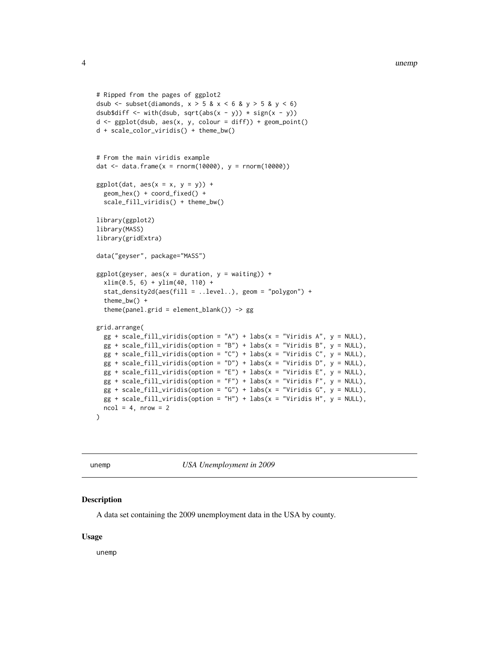```
# Ripped from the pages of ggplot2
dsub \le subset(diamonds, x > 5 & x < 6 & y > 5 & y < 6)
dsub$diff <- with(dsub, sqrt(abs(x - y)) * sign(x - y))
d \leq ggplot(dsub, aes(x, y, colour = diff)) + geom_point()
d + scale_color_viridis() + theme_bw()
# From the main viridis example
dat <- data.frame(x = rnorm(10000), y = rnorm(10000))
ggplot(data, aes(x = x, y = y)) +geom_hex() + coord_fixed() +
 scale_fill_viridis() + theme_bw()
library(ggplot2)
library(MASS)
library(gridExtra)
data("geyser", package="MASS")
ggplot(geyser, aes(x = duration, y = waiting)) +xlim(0.5, 6) + ylim(40, 110) +
 stat_density2d(aes(fill = ..level..), geom = "polygon") +
 theme_bw() +
 theme(panel.grid = element_blank()) -> gg
grid.arrange(
 gg + scale_fill\_viridis(option = "A") + labs(x = "Viridis A", y = NULL),gg + scale_fill\_viridis(option = "B") + labs(x = "Viridis B", y = NULL),gg + scale_fill\_viridis(option = "C") + labs(x = "Viridis C", y = NULL),gg + scale_fill\_viridis(option = "D") + labs(x = "Viridis D", y = NULL),gg + scale_fill\_viridis(option = "E") + labs(x = "Viridis E", y = NULL),gg + scale_fill\_viridis(option = "F") + labs(x = "Viridis F", y = NULL),gg + scale_fill\_viridis(option = "G") + labs(x = "Viridis G", y = NULL),gg + scale_fill\_viridis(option = "H") + labs(x = "Viridis H", y = NULL),ncol = 4, nrow = 2\mathcal{L}
```
unemp *USA Unemployment in 2009*

#### **Description**

A data set containing the 2009 unemployment data in the USA by county.

#### Usage

unemp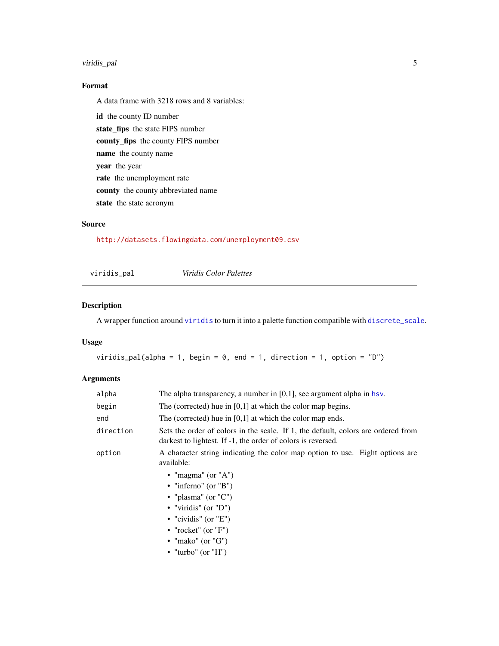#### <span id="page-4-0"></span>viridis\_pal 5

#### Format

A data frame with 3218 rows and 8 variables:

id the county ID number state\_fips the state FIPS number county\_fips the county FIPS number name the county name year the year rate the unemployment rate county the county abbreviated name state the state acronym

#### Source

<http://datasets.flowingdata.com/unemployment09.csv>

<span id="page-4-1"></span>viridis\_pal *Viridis Color Palettes*

#### Description

A wrapper function around [viridis](#page-0-0) to turn it into a palette function compatible with [discrete\\_scale](#page-0-0).

#### Usage

```
viridis_pal(alpha = 1, begin = 0, end = 1, direction = 1, option = "D")
```
#### Arguments

| alpha     | The alpha transparency, a number in $[0,1]$ , see argument alpha in hsv.                                                                          |
|-----------|---------------------------------------------------------------------------------------------------------------------------------------------------|
| begin     | The (corrected) hue in $[0,1]$ at which the color map begins.                                                                                     |
| end       | The (corrected) hue in $[0,1]$ at which the color map ends.                                                                                       |
| direction | Sets the order of colors in the scale. If 1, the default, colors are ordered from<br>darkest to lightest. If -1, the order of colors is reversed. |
| option    | A character string indicating the color map option to use. Eight options are<br>available:                                                        |
|           | • "magma" (or "A")                                                                                                                                |
|           | • "infermo" (or "B")                                                                                                                              |
|           | • "plasma" (or " $C$ ")                                                                                                                           |
|           | • "viridis" (or " $D$ ")                                                                                                                          |
|           | • "cividis" (or " $E$ ")                                                                                                                          |
|           | • "rocket" (or " $F$ ")                                                                                                                           |
|           | • "mako" (or " $G$ ")                                                                                                                             |
|           | • "turbo" (or "H")                                                                                                                                |
|           |                                                                                                                                                   |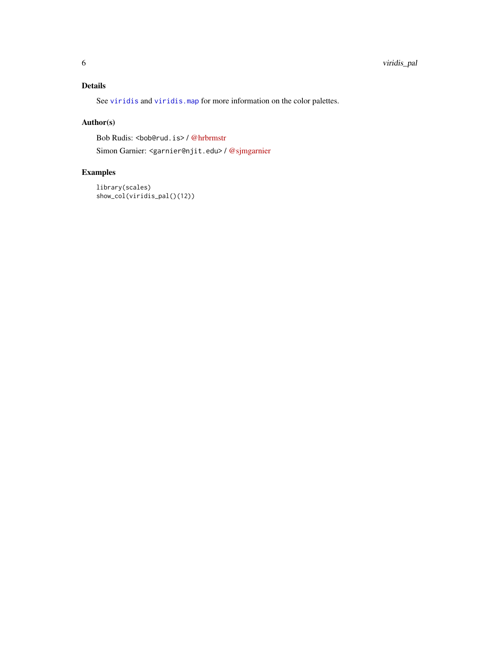#### <span id="page-5-0"></span>Details

See [viridis](#page-0-0) and [viridis.map](#page-0-0) for more information on the color palettes.

#### Author(s)

Bob Rudis: <br/> <br/>bob@rud.is> / [@hrbrmstr](https://twitter.com/hrbrmstr)

Simon Garnier: <garnier@njit.edu> / [@sjmgarnier](https://twitter.com/sjmgarnier)

#### Examples

```
library(scales)
show_col(viridis_pal()(12))
```